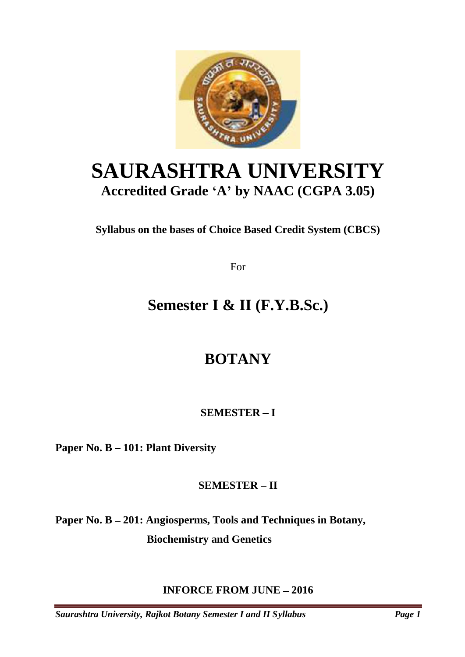

# **SAURASHTRA UNIVERSITY Accredited Grade A by NAAC (CGPA 3.05)**

**Syllabus on the bases of Choice Based Credit System (CBCS)**

For

# **Semester I & II (F.Y.B.Sc.)**

# **BOTANY**

**SEMESTER I**

**Paper No. B 101: Plant Diversity**

# **SEMESTER II**

**Paper No. B 201: Angiosperms, Tools and Techniques in Botany, Biochemistry and Genetics**

# **INFORCE FROM JUNE 2016**

*Saurashtra University, Rajkot Botany Semester I and II Syllabus Page 1*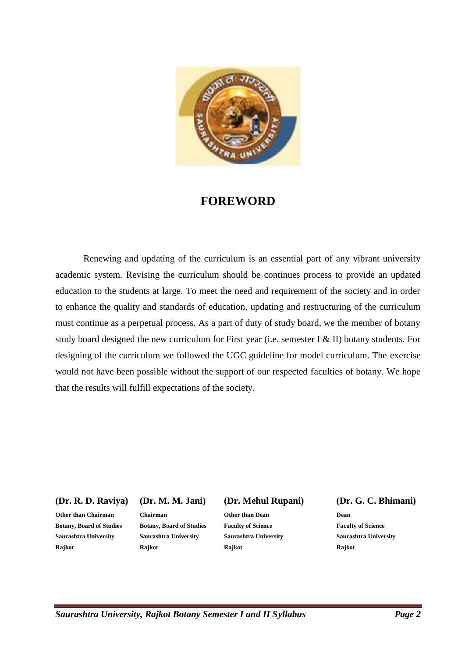

#### **FOREWORD**

Renewing and updating of the curriculum is an essential part of any vibrant university academic system. Revising the curriculum should be continues process to provide an updated education to the students at large. To meet the need and requirement of the society and in order to enhance the quality and standards of education, updating and restructuring of the curriculum must continue as a perpetual process. As a part of duty of study board, we the member of botany study board designed the new curriculum for First year (i.e. semester I & II) botany students. For designing of the curriculum we followed the UGC guideline for model curriculum. The exercise would not have been possible without the support of our respected faculties of botany. We hope that the results will fulfill expectations of the society.

**Botany, Board of Studies Botany, Board of Studies Faculty of Science Faculty of Science Saurashtra University Saurashtra University Saurashtra University Saurashtra University Rajkot Rajkot Rajkot Rajkot**

**Other than Chairman Chairman Other than Dean Dean**

#### **(Dr. R. D. Raviya) (Dr. M. M. Jani) (Dr. Mehul Rupani) (Dr. G. C. Bhimani)**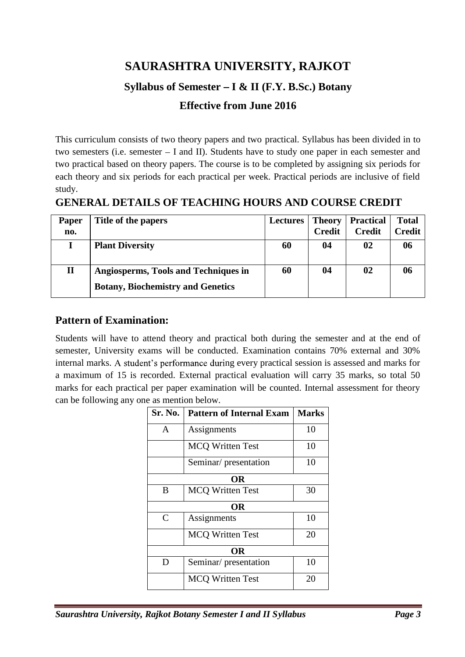# **SAURASHTRA UNIVERSITY, RAJKOT**

### **Syllabus of Semester I & II (F.Y. B.Sc.) Botany**

#### **Effective from June 2016**

This curriculum consists of two theory papers and two practical. Syllabus has been divided in to two semesters (i.e. semester  $-$  I and II). Students have to study one paper in each semester and two practical based on theory papers. The course is to be completed by assigning six periods for each theory and six periods for each practical per week. Practical periods are inclusive of field study.

### **GENERAL DETAILS OF TEACHING HOURS AND COURSE CREDIT**

| <b>Paper</b><br>no. | Title of the papers                                                              | <b>Lectures</b> | <b>Theory</b><br><b>Credit</b> | <b>Practical</b><br><b>Credit</b> | <b>Total</b><br><b>Credit</b> |
|---------------------|----------------------------------------------------------------------------------|-----------------|--------------------------------|-----------------------------------|-------------------------------|
|                     | <b>Plant Diversity</b>                                                           | 60              | 04                             | 02                                | 06                            |
| $\mathbf H$         | Angiosperms, Tools and Techniques in<br><b>Botany, Biochemistry and Genetics</b> | 60              | 04                             | 02                                | 06                            |

### **Pattern of Examination:**

Students will have to attend theory and practical both during the semester and at the end of semester, University exams will be conducted. Examination contains 70% external and 30% internal marks. A student's performance during every practical session is assessed and marks for a maximum of 15 is recorded. External practical evaluation will carry 35 marks, so total 50 marks for each practical per paper examination will be counted. Internal assessment for theory can be following any one as mention below.

| Sr. No.                       | <b>Pattern of Internal Exam</b> | <b>Marks</b> |  |  |  |  |  |  |  |
|-------------------------------|---------------------------------|--------------|--|--|--|--|--|--|--|
| $\mathbf{A}$                  | Assignments                     | 10           |  |  |  |  |  |  |  |
| 10<br><b>MCQ Written Test</b> |                                 |              |  |  |  |  |  |  |  |
|                               | Seminar/presentation            | 10           |  |  |  |  |  |  |  |
|                               | <b>OR</b>                       |              |  |  |  |  |  |  |  |
| B                             | <b>MCQ Written Test</b>         | 30           |  |  |  |  |  |  |  |
|                               | <b>OR</b>                       |              |  |  |  |  |  |  |  |
| $\mathcal{C}$                 | Assignments                     | 10           |  |  |  |  |  |  |  |
|                               | <b>MCQ Written Test</b>         | 20           |  |  |  |  |  |  |  |
|                               | <b>OR</b>                       |              |  |  |  |  |  |  |  |
| D                             | Seminar/presentation            | 10           |  |  |  |  |  |  |  |
|                               | <b>MCQ Written Test</b>         | 20           |  |  |  |  |  |  |  |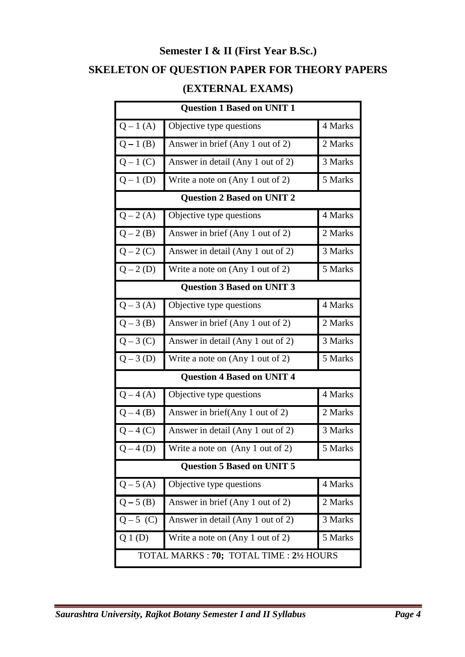# **Semester I & II (First Year B.Sc.) SKELETON OF QUESTION PAPER FOR THEORY PAPERS**

# **(EXTERNAL EXAMS)**

|                                                            | <b>Question 1 Based on UNIT 1</b>            |         |  |  |  |  |  |
|------------------------------------------------------------|----------------------------------------------|---------|--|--|--|--|--|
| $Q - 1$ (A)                                                | Objective type questions                     | 4 Marks |  |  |  |  |  |
| $Q - 1 (B)$                                                | Answer in brief (Any 1 out of 2)             | 2 Marks |  |  |  |  |  |
| $Q - 1$ (C)                                                | 3 Marks<br>Answer in detail (Any 1 out of 2) |         |  |  |  |  |  |
| $Q - 1 (D)$                                                | Write a note on (Any 1 out of 2)             | 5 Marks |  |  |  |  |  |
|                                                            | <b>Question 2 Based on UNIT 2</b>            |         |  |  |  |  |  |
| $Q - 2(A)$                                                 | Objective type questions                     | 4 Marks |  |  |  |  |  |
| $Q - 2(B)$                                                 | Answer in brief (Any 1 out of 2)             | 2 Marks |  |  |  |  |  |
| $Q - 2(C)$<br>3 Marks<br>Answer in detail (Any 1 out of 2) |                                              |         |  |  |  |  |  |
| $Q - 2(D)$                                                 | Write a note on $(Any 1 out of 2)$           | 5 Marks |  |  |  |  |  |
|                                                            | <b>Question 3 Based on UNIT 3</b>            |         |  |  |  |  |  |
| $Q - 3(A)$                                                 | Objective type questions                     | 4 Marks |  |  |  |  |  |
| $Q - 3 (B)$                                                | Answer in brief (Any 1 out of 2)<br>2 Marks  |         |  |  |  |  |  |
| $Q - 3(C)$                                                 | 3 Marks<br>Answer in detail (Any 1 out of 2) |         |  |  |  |  |  |
| $Q - 3(D)$                                                 | Write a note on (Any 1 out of 2)             | 5 Marks |  |  |  |  |  |
|                                                            | <b>Question 4 Based on UNIT 4</b>            |         |  |  |  |  |  |
| $Q - 4(A)$                                                 | Objective type questions                     | 4 Marks |  |  |  |  |  |
| $Q - 4(B)$                                                 | Answer in brief(Any 1 out of 2)              | 2 Marks |  |  |  |  |  |
| $Q - 4(C)$                                                 | Answer in detail (Any 1 out of 2)            | 3 Marks |  |  |  |  |  |
| $Q - 4 (D)$                                                | Write a note on (Any 1 out of 2)             | 5 Marks |  |  |  |  |  |
|                                                            | <b>Question 5 Based on UNIT 5</b>            |         |  |  |  |  |  |
| $Q - 5(A)$                                                 | Objective type questions                     | 4 Marks |  |  |  |  |  |
| $Q - 5$ (B)                                                | Answer in brief (Any 1 out of 2)             | 2 Marks |  |  |  |  |  |
| $Q - 5$ (C)                                                | Answer in detail (Any 1 out of 2)            | 3 Marks |  |  |  |  |  |
| $Q_1(D)$                                                   | Write a note on (Any 1 out of 2)             | 5 Marks |  |  |  |  |  |
|                                                            | TOTAL MARKS: 70; TOTAL TIME: 21/2 HOURS      |         |  |  |  |  |  |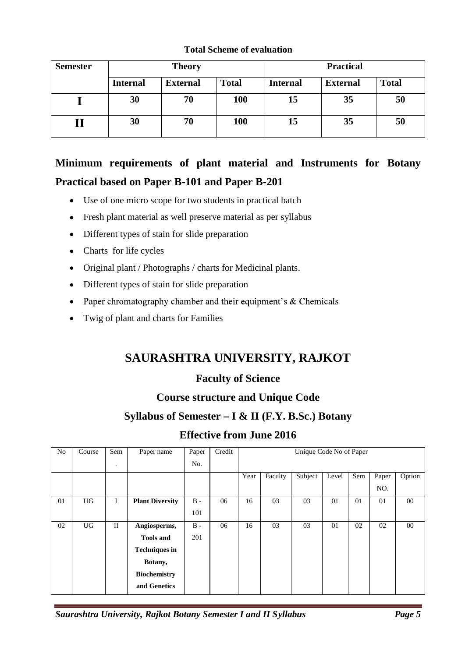#### **Total Scheme of evaluation**

| <b>Semester</b> | <b>Theory</b>   |                 |              | <b>Practical</b> |                 |              |  |  |
|-----------------|-----------------|-----------------|--------------|------------------|-----------------|--------------|--|--|
|                 | <b>Internal</b> | <b>External</b> | <b>Total</b> | <b>Internal</b>  | <b>External</b> | <b>Total</b> |  |  |
|                 | 30              | 70              | 100          | 15               | 35              | 50           |  |  |
|                 | 30              | 70              | 100          | 15               | 35              | 50           |  |  |

# **Minimum requirements of plant material and Instruments for Botany Practical based on Paper B-101 and Paper B-201**

- Use of one micro scope for two students in practical batch
- Fresh plant material as well preserve material as per syllabus
- Different types of stain for slide preparation
- Charts for life cycles
- Original plant / Photographs / charts for Medicinal plants.
- Different types of stain for slide preparation
- Paper chromatography chamber and their equipment's  $&$  Chemicals
- Twig of plant and charts for Families

# **SAURASHTRA UNIVERSITY, RAJKOT**

### **Faculty of Science**

## **Course structure and Unique Code**

## **Syllabus of Semester I & II (F.Y. B.Sc.) Botany**

### **Effective from June 2016**

| N <sub>o</sub> | Course    | Sem          | Paper name             | Paper | Credit | Unique Code No of Paper |         |         |       |     |       |        |
|----------------|-----------|--------------|------------------------|-------|--------|-------------------------|---------|---------|-------|-----|-------|--------|
|                |           | ٠            |                        | No.   |        |                         |         |         |       |     |       |        |
|                |           |              |                        |       |        | Year                    | Faculty | Subject | Level | Sem | Paper | Option |
|                |           |              |                        |       |        |                         |         |         |       |     | NO.   |        |
| 01             | <b>UG</b> | I            | <b>Plant Diversity</b> | $B -$ | 06     | 16                      | 03      | 03      | 01    | 01  | 01    | $00\,$ |
|                |           |              |                        | 101   |        |                         |         |         |       |     |       |        |
| 02             | UG        | $\mathbf{I}$ | Angiosperms,           | $B -$ | 06     | 16                      | 03      | 03      | 01    | 02  | 02    | $00\,$ |
|                |           |              | <b>Tools and</b>       | 201   |        |                         |         |         |       |     |       |        |
|                |           |              | <b>Techniques in</b>   |       |        |                         |         |         |       |     |       |        |
|                |           |              | Botany,                |       |        |                         |         |         |       |     |       |        |
|                |           |              | <b>Biochemistry</b>    |       |        |                         |         |         |       |     |       |        |
|                |           |              | and Genetics           |       |        |                         |         |         |       |     |       |        |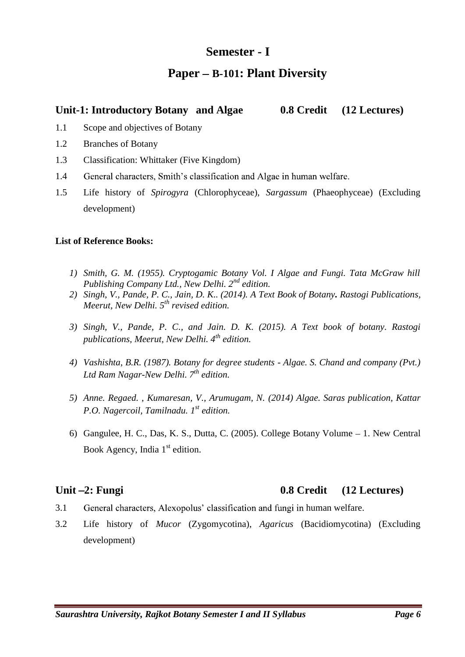# **Semester - I**

## **Paper B-101: Plant Diversity**

### **Unit-1: Introductory Botany and Algae 0.8 Credit (12 Lectures)**

- 1.1 Scope and objectives of Botany
- 1.2 Branches of Botany
- 1.3 Classification: Whittaker (Five Kingdom)
- 1.4 General characters, Smith's classification and Algae in human welfare.
- 1.5 Life history of *Spirogyra* (Chlorophyceae), *Sargassum* (Phaeophyceae) (Excluding development)

#### **List of Reference Books:**

- *1) Smith, G. M. (1955). Cryptogamic Botany Vol. I Algae and Fungi. Tata McGraw hill Publishing Company Ltd., New Delhi. 2nd edition.*
- *2) Singh, V., Pande, P. C., Jain, D. K.. (2014). A Text Book of Botany. Rastogi Publications, Meerut, New Delhi. 5th revised edition.*
- *3) Singh, V., Pande, P. C., and Jain. D. K. (2015). A Text book of botany. Rastogi publications, Meerut, New Delhi. 4th edition.*
- *4) Vashishta, B.R. (1987). Botany for degree students - Algae. S. Chand and company (Pvt.) Ltd Ram Nagar-New Delhi. 7th edition.*
- *5) Anne. Regaed. , Kumaresan, V., Arumugam, N. (2014) Algae. Saras publication, Kattar P.O. Nagercoil, Tamilnadu. 1 st edition.*
- 6) Gangulee, H. C., Das, K. S., Dutta, C. (2005). College Botany Volume 1. New Central Book Agency, India  $1<sup>st</sup>$  edition.

### **Unit 2: Fungi 0.8 Credit (12 Lectures)**

- 3.1 General characters, Alexopolus' classification and fungi in human welfare.
- 3.2 Life history of *Mucor* (Zygomycotina), *Agaricus* (Bacidiomycotina) (Excluding development)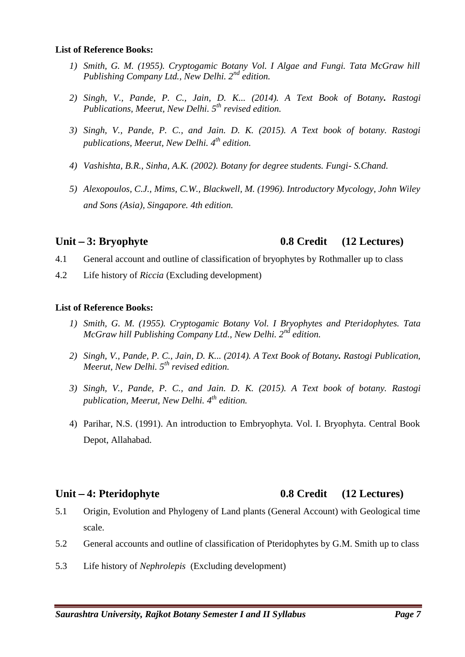#### **List of Reference Books:**

- *1) Smith, G. M. (1955). Cryptogamic Botany Vol. I Algae and Fungi. Tata McGraw hill Publishing Company Ltd., New Delhi. 2nd edition.*
- *2) Singh, V., Pande, P. C., Jain, D. K... (2014). A Text Book of Botany. Rastogi Publications, Meerut, New Delhi. 5th revised edition.*
- *3) Singh, V., Pande, P. C., and Jain. D. K. (2015). A Text book of botany. Rastogi publications, Meerut, New Delhi. 4th edition.*
- *4) Vashishta, B.R., Sinha, A.K. (2002). Botany for degree students. Fungi- S.Chand.*
- *5) Alexopoulos, C.J., Mims, C.W., Blackwell, M. (1996). Introductory Mycology, John Wiley and Sons (Asia), Singapore. 4th edition.*

### **Unit 3: Bryophyte 0.8 Credit (12 Lectures)**

- 4.1 General account and outline of classification of bryophytes by Rothmaller up to class
- 4.2 Life history of *Riccia* (Excluding development)

#### **List of Reference Books:**

- *1) Smith, G. M. (1955). Cryptogamic Botany Vol. I Bryophytes and Pteridophytes. Tata McGraw hill Publishing Company Ltd., New Delhi. 2nd edition.*
- *2) Singh, V., Pande, P. C., Jain, D. K... (2014). A Text Book of Botany. Rastogi Publication, Meerut, New Delhi. 5th revised edition.*
- *3) Singh, V., Pande, P. C., and Jain. D. K. (2015). A Text book of botany. Rastogi publication, Meerut, New Delhi. 4 th edition.*
- 4) Parihar, N.S. (1991). An introduction to Embryophyta. Vol. I. Bryophyta. Central Book Depot, Allahabad.

#### **Unit 4: Pteridophyte 0.8 Credit (12 Lectures)**

- 5.1 Origin, Evolution and Phylogeny of Land plants (General Account) with Geological time scale.
- 5.2 General accounts and outline of classification of Pteridophytes by G.M. Smith up to class
- 5.3 Life history of *Nephrolepis* (Excluding development)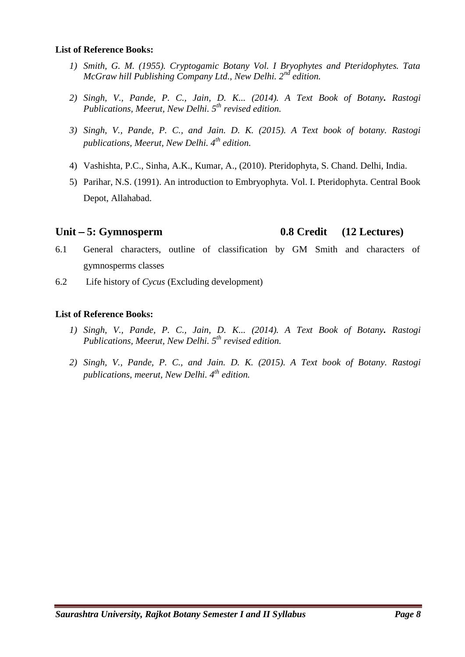#### **List of Reference Books:**

- *1) Smith, G. M. (1955). Cryptogamic Botany Vol. I Bryophytes and Pteridophytes. Tata McGraw hill Publishing Company Ltd., New Delhi. 2nd edition.*
- *2) Singh, V., Pande, P. C., Jain, D. K... (2014). A Text Book of Botany. Rastogi Publications, Meerut, New Delhi. 5th revised edition.*
- *3) Singh, V., Pande, P. C., and Jain. D. K. (2015). A Text book of botany. Rastogi publications, Meerut, New Delhi. 4th edition.*
- 4) Vashishta, P.C., Sinha, A.K., Kumar, A., (2010). Pteridophyta, S. Chand. Delhi, India.
- 5) Parihar, N.S. (1991). An introduction to Embryophyta. Vol. I. Pteridophyta. Central Book Depot, Allahabad.

#### **Unit 5: Gymnosperm 0.8 Credit (12 Lectures)**

- 6.1 General characters, outline of classification by GM Smith and characters of gymnosperms classes
- 6.2 Life history of *Cycus* (Excluding development)

#### **List of Reference Books:**

- *1) Singh, V., Pande, P. C., Jain, D. K... (2014). A Text Book of Botany. Rastogi Publications, Meerut, New Delhi. 5th revised edition.*
- *2) Singh, V., Pande, P. C., and Jain. D. K. (2015). A Text book of Botany. Rastogi publications, meerut, New Delhi. 4th edition.*